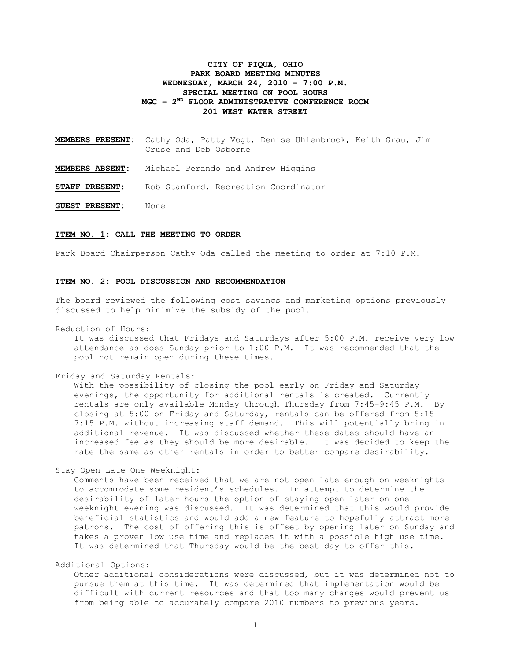## **CITY OF PIQUA, OHIO PARK BOARD MEETING MINUTES WEDNESDAY, MARCH 24, 2010 – 7:00 P.M. SPECIAL MEETING ON POOL HOURS MGC – 2ND FLOOR ADMINISTRATIVE CONFERENCE ROOM 201 WEST WATER STREET**

**MEMBERS PRESENT:** Cathy Oda, Patty Vogt, Denise Uhlenbrock, Keith Grau, Jim Cruse and Deb Osborne

**MEMBERS ABSENT:** Michael Perando and Andrew Higgins

**STAFF PRESENT:** Rob Stanford, Recreation Coordinator

**GUEST PRESENT:** None

## **ITEM NO. 1: CALL THE MEETING TO ORDER**

Park Board Chairperson Cathy Oda called the meeting to order at 7:10 P.M.

## **ITEM NO. 2: POOL DISCUSSION AND RECOMMENDATION**

The board reviewed the following cost savings and marketing options previously discussed to help minimize the subsidy of the pool.

Reduction of Hours:

It was discussed that Fridays and Saturdays after 5:00 P.M. receive very low attendance as does Sunday prior to 1:00 P.M. It was recommended that the pool not remain open during these times.

Friday and Saturday Rentals:

With the possibility of closing the pool early on Friday and Saturday evenings, the opportunity for additional rentals is created. Currently rentals are only available Monday through Thursday from 7:45-9:45 P.M. By closing at 5:00 on Friday and Saturday, rentals can be offered from 5:15- 7:15 P.M. without increasing staff demand. This will potentially bring in additional revenue. It was discussed whether these dates should have an increased fee as they should be more desirable. It was decided to keep the rate the same as other rentals in order to better compare desirability.

Stay Open Late One Weeknight:

Comments have been received that we are not open late enough on weeknights to accommodate some resident's schedules. In attempt to determine the desirability of later hours the option of staying open later on one weeknight evening was discussed. It was determined that this would provide beneficial statistics and would add a new feature to hopefully attract more patrons. The cost of offering this is offset by opening later on Sunday and takes a proven low use time and replaces it with a possible high use time. It was determined that Thursday would be the best day to offer this.

Additional Options:

Other additional considerations were discussed, but it was determined not to pursue them at this time. It was determined that implementation would be difficult with current resources and that too many changes would prevent us from being able to accurately compare 2010 numbers to previous years.